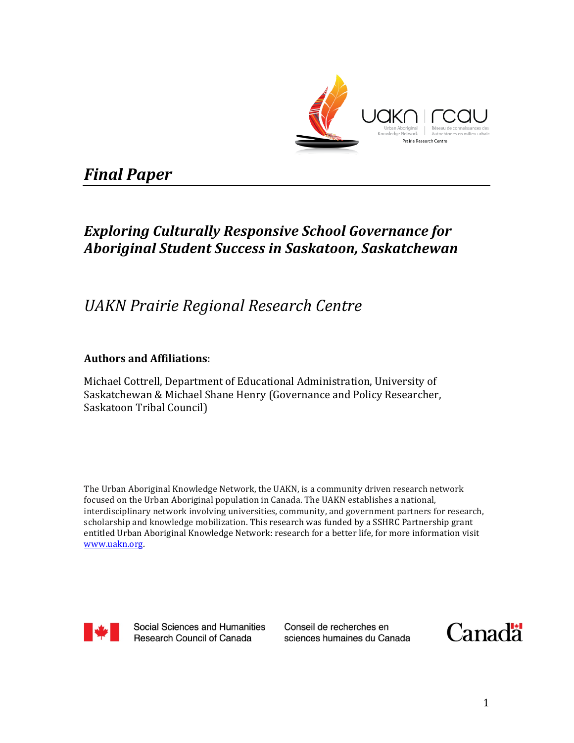

# *Final Paper*

# **Exploring Culturally Responsive School Governance for** *Aboriginal Student Success in Saskatoon, Saskatchewan*

# *UAKN Prairie Regional Research Centre*

## **Authors and Affiliations**:

Michael Cottrell, Department of Educational Administration, University of Saskatchewan & Michael Shane Henry (Governance and Policy Researcher, Saskatoon Tribal Council)

The Urban Aboriginal Knowledge Network, the UAKN, is a community driven research network focused on the Urban Aboriginal population in Canada. The UAKN establishes a national, interdisciplinary network involving universities, community, and government partners for research, scholarship and knowledge mobilization. This research was funded by a SSHRC Partnership grant entitled Urban Aboriginal Knowledge Network: research for a better life, for more information visit www.uakn.org. 



**Social Sciences and Humanities** Research Council of Canada

Conseil de recherches en sciences humaines du Canada

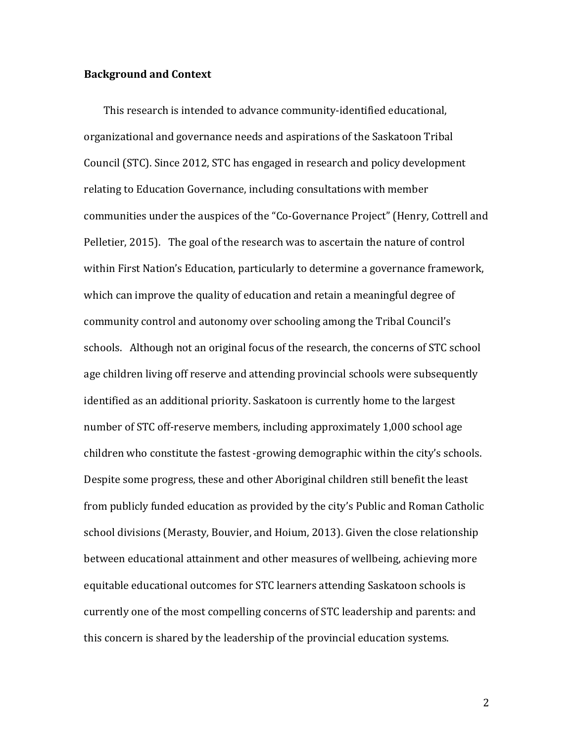### **Background and Context**

This research is intended to advance community-identified educational, organizational and governance needs and aspirations of the Saskatoon Tribal Council (STC). Since 2012, STC has engaged in research and policy development relating to Education Governance, including consultations with member communities under the auspices of the "Co-Governance Project" (Henry, Cottrell and Pelletier, 2015). The goal of the research was to ascertain the nature of control within First Nation's Education, particularly to determine a governance framework, which can improve the quality of education and retain a meaningful degree of community control and autonomy over schooling among the Tribal Council's schools. Although not an original focus of the research, the concerns of STC school age children living off reserve and attending provincial schools were subsequently identified as an additional priority. Saskatoon is currently home to the largest number of STC off-reserve members, including approximately 1,000 school age children who constitute the fastest -growing demographic within the city's schools. Despite some progress, these and other Aboriginal children still benefit the least from publicly funded education as provided by the city's Public and Roman Catholic school divisions (Merasty, Bouvier, and Hoium, 2013). Given the close relationship between educational attainment and other measures of wellbeing, achieving more equitable educational outcomes for STC learners attending Saskatoon schools is currently one of the most compelling concerns of STC leadership and parents: and this concern is shared by the leadership of the provincial education systems.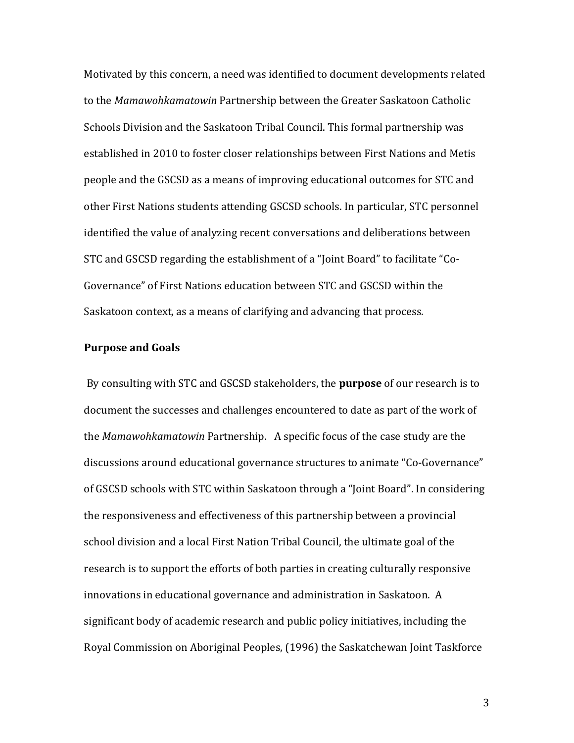Motivated by this concern, a need was identified to document developments related to the Mamawohkamatowin Partnership between the Greater Saskatoon Catholic Schools Division and the Saskatoon Tribal Council. This formal partnership was established in 2010 to foster closer relationships between First Nations and Metis people and the GSCSD as a means of improving educational outcomes for STC and other First Nations students attending GSCSD schools. In particular, STC personnel identified the value of analyzing recent conversations and deliberations between STC and GSCSD regarding the establishment of a "Joint Board" to facilitate "Co-Governance" of First Nations education between STC and GSCSD within the Saskatoon context, as a means of clarifying and advancing that process.

#### **Purpose and Goals**

By consulting with STC and GSCSD stakeholders, the **purpose** of our research is to document the successes and challenges encountered to date as part of the work of the *Mamawohkamatowin* Partnership. A specific focus of the case study are the discussions around educational governance structures to animate "Co-Governance" of GSCSD schools with STC within Saskatoon through a "Joint Board". In considering the responsiveness and effectiveness of this partnership between a provincial school division and a local First Nation Tribal Council, the ultimate goal of the research is to support the efforts of both parties in creating culturally responsive innovations in educational governance and administration in Saskatoon. A significant body of academic research and public policy initiatives, including the Royal Commission on Aboriginal Peoples, (1996) the Saskatchewan Joint Taskforce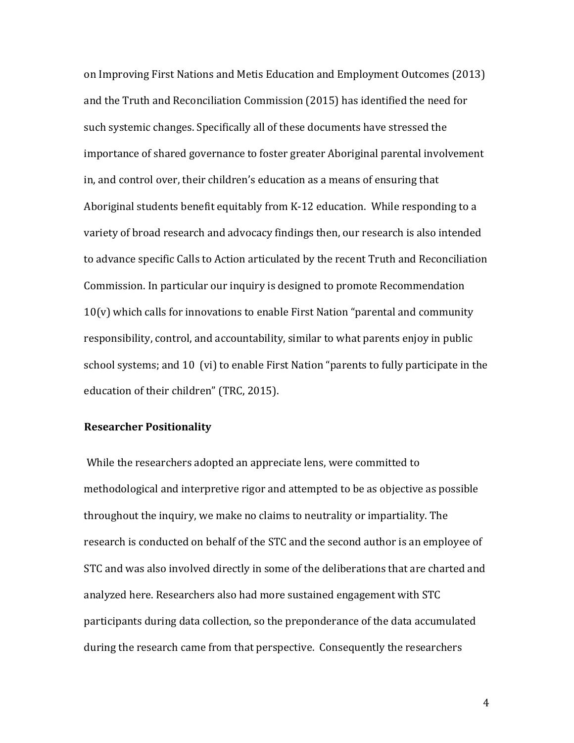on Improving First Nations and Metis Education and Employment Outcomes (2013) and the Truth and Reconciliation Commission (2015) has identified the need for such systemic changes. Specifically all of these documents have stressed the importance of shared governance to foster greater Aboriginal parental involvement in, and control over, their children's education as a means of ensuring that Aboriginal students benefit equitably from K-12 education. While responding to a variety of broad research and advocacy findings then, our research is also intended to advance specific Calls to Action articulated by the recent Truth and Reconciliation Commission. In particular our inquiry is designed to promote Recommendation  $10(v)$  which calls for innovations to enable First Nation "parental and community responsibility, control, and accountability, similar to what parents enjoy in public school systems; and 10 (vi) to enable First Nation "parents to fully participate in the education of their children" (TRC, 2015).

#### **Researcher Positionality**

While the researchers adopted an appreciate lens, were committed to methodological and interpretive rigor and attempted to be as objective as possible throughout the inquiry, we make no claims to neutrality or impartiality. The research is conducted on behalf of the STC and the second author is an employee of STC and was also involved directly in some of the deliberations that are charted and analyzed here. Researchers also had more sustained engagement with STC participants during data collection, so the preponderance of the data accumulated during the research came from that perspective. Consequently the researchers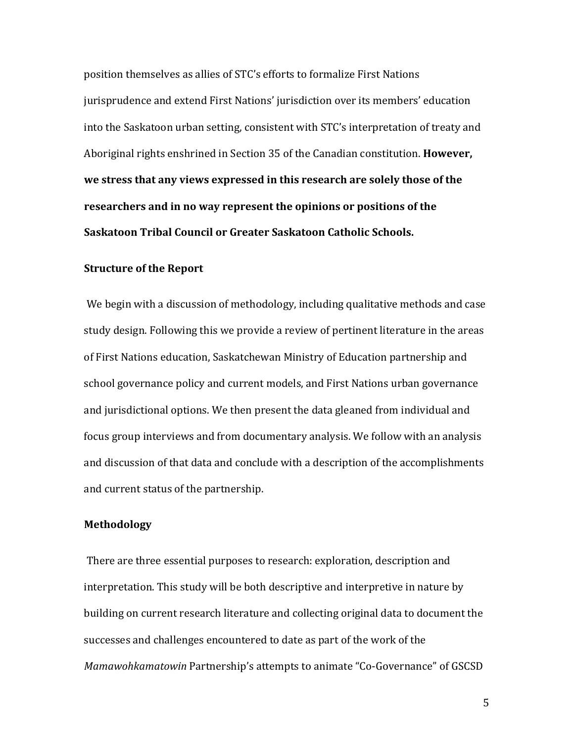position themselves as allies of STC's efforts to formalize First Nations jurisprudence and extend First Nations' jurisdiction over its members' education into the Saskatoon urban setting, consistent with STC's interpretation of treaty and Aboriginal rights enshrined in Section 35 of the Canadian constitution. **However,** we stress that any views expressed in this research are solely those of the researchers and in no way represent the opinions or positions of the **Saskatoon Tribal Council or Greater Saskatoon Catholic Schools.** 

## **Structure of the Report**

We begin with a discussion of methodology, including qualitative methods and case study design. Following this we provide a review of pertinent literature in the areas of First Nations education, Saskatchewan Ministry of Education partnership and school governance policy and current models, and First Nations urban governance and jurisdictional options. We then present the data gleaned from individual and focus group interviews and from documentary analysis. We follow with an analysis and discussion of that data and conclude with a description of the accomplishments and current status of the partnership.

#### **Methodology**

There are three essential purposes to research: exploration, description and interpretation. This study will be both descriptive and interpretive in nature by building on current research literature and collecting original data to document the successes and challenges encountered to date as part of the work of the *Mamawohkamatowin* Partnership's attempts to animate "Co-Governance" of GSCSD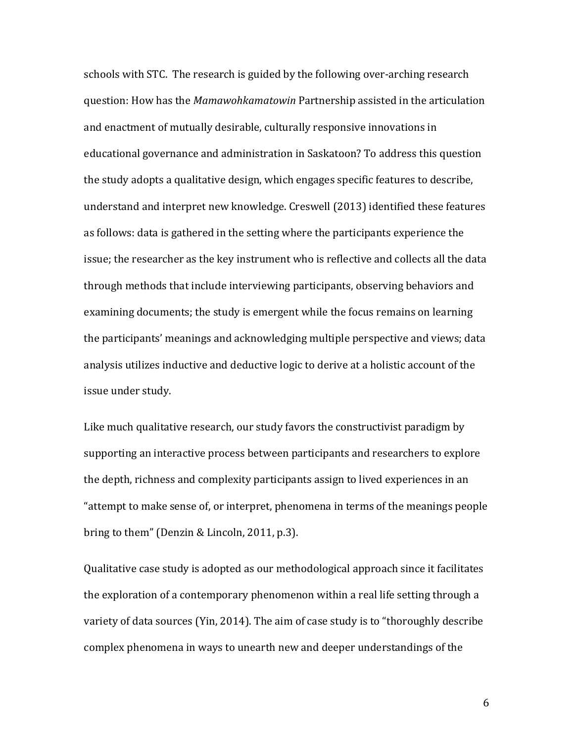schools with STC. The research is guided by the following over-arching research question: How has the *Mamawohkamatowin* Partnership assisted in the articulation and enactment of mutually desirable, culturally responsive innovations in educational governance and administration in Saskatoon? To address this question the study adopts a qualitative design, which engages specific features to describe, understand and interpret new knowledge. Creswell (2013) identified these features as follows: data is gathered in the setting where the participants experience the issue; the researcher as the key instrument who is reflective and collects all the data through methods that include interviewing participants, observing behaviors and examining documents; the study is emergent while the focus remains on learning the participants' meanings and acknowledging multiple perspective and views; data analysis utilizes inductive and deductive logic to derive at a holistic account of the issue under study.

Like much qualitative research, our study favors the constructivist paradigm by supporting an interactive process between participants and researchers to explore the depth, richness and complexity participants assign to lived experiences in an "attempt to make sense of, or interpret, phenomena in terms of the meanings people bring to them" (Denzin & Lincoln, 2011, p.3).

Qualitative case study is adopted as our methodological approach since it facilitates the exploration of a contemporary phenomenon within a real life setting through a variety of data sources (Yin, 2014). The aim of case study is to "thoroughly describe complex phenomena in ways to unearth new and deeper understandings of the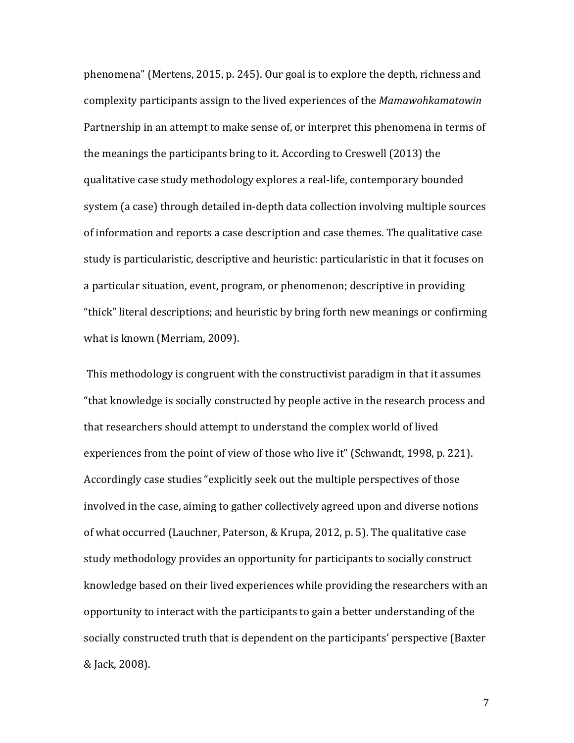phenomena" (Mertens, 2015, p. 245). Our goal is to explore the depth, richness and complexity participants assign to the lived experiences of the *Mamawohkamatowin* Partnership in an attempt to make sense of, or interpret this phenomena in terms of the meanings the participants bring to it. According to Creswell  $(2013)$  the qualitative case study methodology explores a real-life, contemporary bounded system (a case) through detailed in-depth data collection involving multiple sources of information and reports a case description and case themes. The qualitative case study is particularistic, descriptive and heuristic: particularistic in that it focuses on a particular situation, event, program, or phenomenon; descriptive in providing "thick" literal descriptions; and heuristic by bring forth new meanings or confirming what is known (Merriam, 2009).

This methodology is congruent with the constructivist paradigm in that it assumes "that knowledge is socially constructed by people active in the research process and that researchers should attempt to understand the complex world of lived experiences from the point of view of those who live it" (Schwandt, 1998, p. 221). Accordingly case studies "explicitly seek out the multiple perspectives of those involved in the case, aiming to gather collectively agreed upon and diverse notions of what occurred (Lauchner, Paterson, & Krupa, 2012, p. 5). The qualitative case study methodology provides an opportunity for participants to socially construct knowledge based on their lived experiences while providing the researchers with an opportunity to interact with the participants to gain a better understanding of the socially constructed truth that is dependent on the participants' perspective (Baxter & Jack, 2008).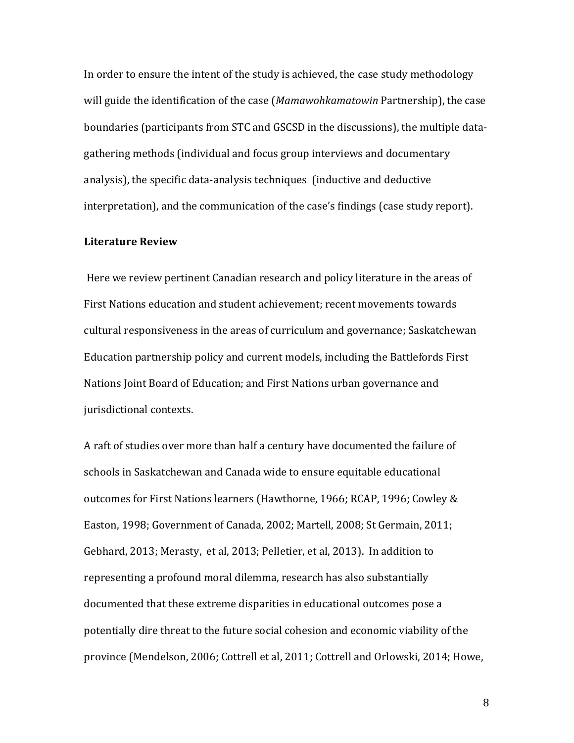In order to ensure the intent of the study is achieved, the case study methodology will guide the identification of the case (*Mamawohkamatowin* Partnership), the case boundaries (participants from STC and GSCSD in the discussions), the multiple datagathering methods (individual and focus group interviews and documentary analysis), the specific data-analysis techniques (inductive and deductive interpretation), and the communication of the case's findings (case study report).

## **Literature Review**

Here we review pertinent Canadian research and policy literature in the areas of First Nations education and student achievement; recent movements towards cultural responsiveness in the areas of curriculum and governance; Saskatchewan Education partnership policy and current models, including the Battlefords First Nations Joint Board of Education; and First Nations urban governance and jurisdictional contexts.

A raft of studies over more than half a century have documented the failure of schools in Saskatchewan and Canada wide to ensure equitable educational outcomes for First Nations learners (Hawthorne, 1966; RCAP, 1996; Cowley & Easton, 1998; Government of Canada, 2002; Martell, 2008; St Germain, 2011; Gebhard, 2013; Merasty, et al, 2013; Pelletier, et al, 2013). In addition to representing a profound moral dilemma, research has also substantially documented that these extreme disparities in educational outcomes pose a potentially dire threat to the future social cohesion and economic viability of the province (Mendelson, 2006; Cottrell et al, 2011; Cottrell and Orlowski, 2014; Howe,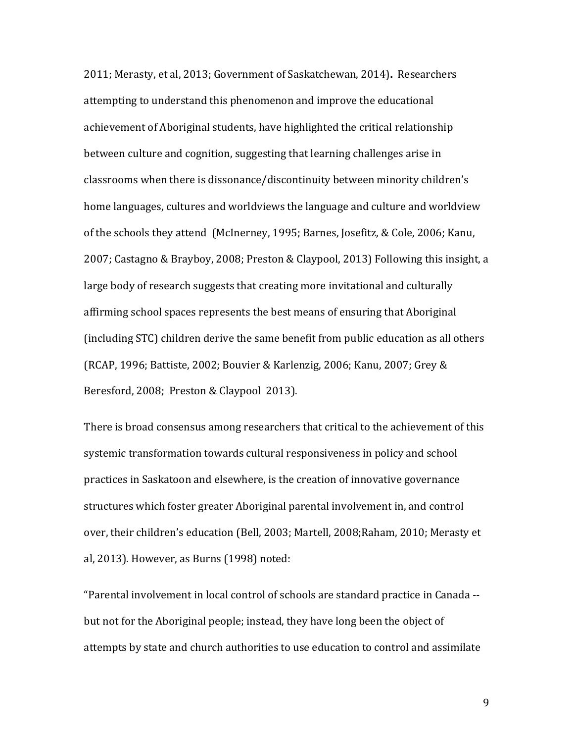2011; Merasty, et al, 2013; Government of Saskatchewan, 2014). Researchers attempting to understand this phenomenon and improve the educational achievement of Aboriginal students, have highlighted the critical relationship between culture and cognition, suggesting that learning challenges arise in classrooms when there is dissonance/discontinuity between minority children's home languages, cultures and worldviews the language and culture and worldview of the schools they attend (McInerney, 1995; Barnes, Josefitz, & Cole, 2006; Kanu, 2007; Castagno & Brayboy, 2008; Preston & Claypool, 2013) Following this insight, a large body of research suggests that creating more invitational and culturally affirming school spaces represents the best means of ensuring that Aboriginal (including STC) children derive the same benefit from public education as all others  $(RCAP, 1996; Battiste, 2002; Bouvier & Karlenzig, 2006; Kanu, 2007; Grey &$ Beresford, 2008; Preston & Claypool 2013).

There is broad consensus among researchers that critical to the achievement of this systemic transformation towards cultural responsiveness in policy and school practices in Saskatoon and elsewhere, is the creation of innovative governance structures which foster greater Aboriginal parental involvement in, and control over, their children's education (Bell, 2003; Martell, 2008;Raham, 2010; Merasty et al, 2013). However, as Burns  $(1998)$  noted:

"Parental involvement in local control of schools are standard practice in Canada -but not for the Aboriginal people; instead, they have long been the object of attempts by state and church authorities to use education to control and assimilate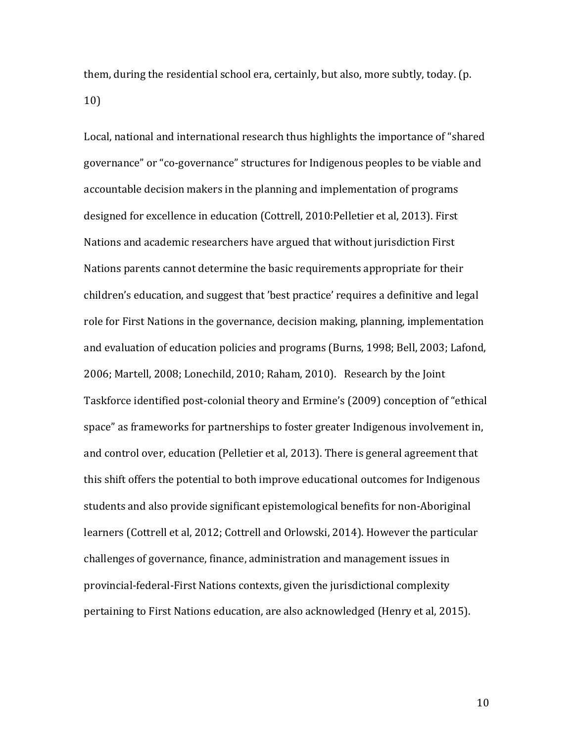them, during the residential school era, certainly, but also, more subtly, today. (p. 10) 

Local, national and international research thus highlights the importance of "shared governance" or "co-governance" structures for Indigenous peoples to be viable and accountable decision makers in the planning and implementation of programs designed for excellence in education (Cottrell, 2010:Pelletier et al, 2013). First Nations and academic researchers have argued that without jurisdiction First Nations parents cannot determine the basic requirements appropriate for their children's education, and suggest that 'best practice' requires a definitive and legal role for First Nations in the governance, decision making, planning, implementation and evaluation of education policies and programs (Burns, 1998; Bell, 2003; Lafond, 2006; Martell, 2008; Lonechild, 2010; Raham, 2010). Research by the Joint Taskforce identified post-colonial theory and Ermine's (2009) conception of "ethical space" as frameworks for partnerships to foster greater Indigenous involvement in, and control over, education (Pelletier et al, 2013). There is general agreement that this shift offers the potential to both improve educational outcomes for Indigenous students and also provide significant epistemological benefits for non-Aboriginal learners (Cottrell et al, 2012; Cottrell and Orlowski, 2014). However the particular challenges of governance, finance, administration and management issues in provincial-federal-First Nations contexts, given the jurisdictional complexity pertaining to First Nations education, are also acknowledged (Henry et al, 2015).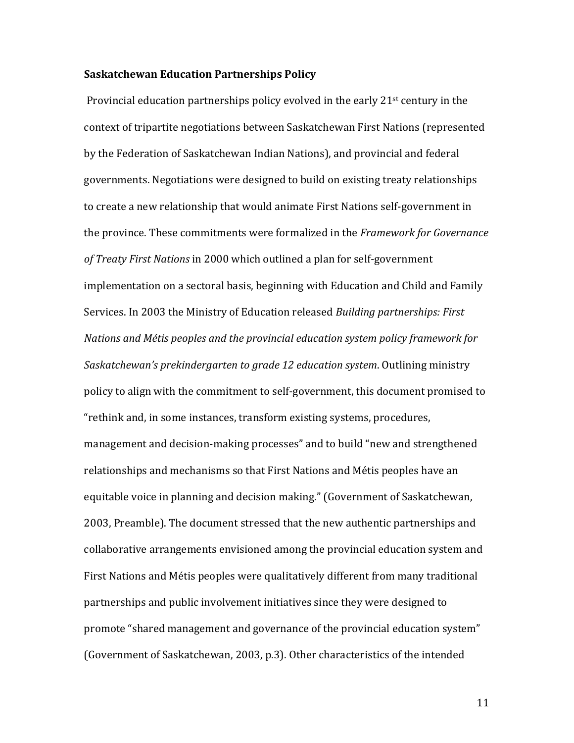#### **Saskatchewan Education Partnerships Policy**

Provincial education partnerships policy evolved in the early  $21<sup>st</sup>$  century in the context of tripartite negotiations between Saskatchewan First Nations (represented by the Federation of Saskatchewan Indian Nations), and provincial and federal governments. Negotiations were designed to build on existing treaty relationships to create a new relationship that would animate First Nations self-government in the province. These commitments were formalized in the *Framework for Governance* of Treaty First Nations in 2000 which outlined a plan for self-government implementation on a sectoral basis, beginning with Education and Child and Family Services. In 2003 the Ministry of Education released *Building partnerships: First Nations and Métis peoples and the provincial education system policy framework for Saskatchewan's prekindergarten to grade 12 education system.* Outlining ministry policy to align with the commitment to self-government, this document promised to "rethink and, in some instances, transform existing systems, procedures, management and decision-making processes" and to build "new and strengthened relationships and mechanisms so that First Nations and Métis peoples have an equitable voice in planning and decision making." (Government of Saskatchewan, 2003, Preamble). The document stressed that the new authentic partnerships and collaborative arrangements envisioned among the provincial education system and First Nations and Métis peoples were qualitatively different from many traditional partnerships and public involvement initiatives since they were designed to promote "shared management and governance of the provincial education system" (Government of Saskatchewan, 2003, p.3). Other characteristics of the intended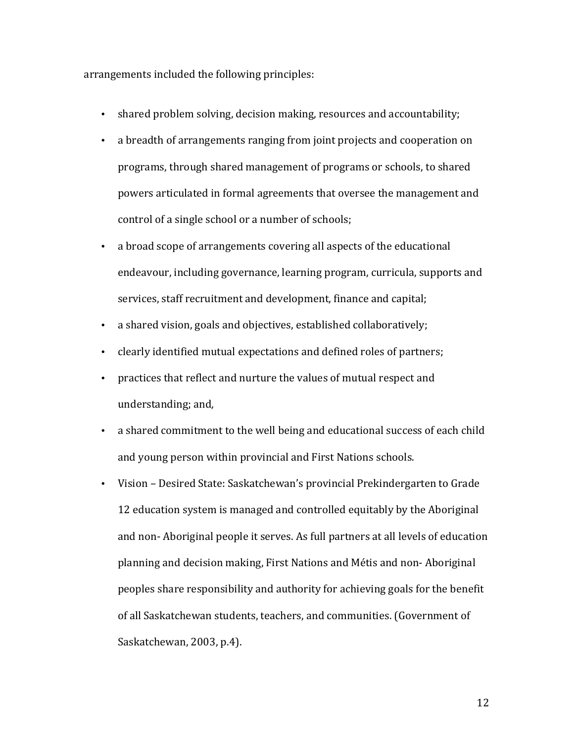arrangements included the following principles:

- shared problem solving, decision making, resources and accountability;
- a breadth of arrangements ranging from joint projects and cooperation on programs, through shared management of programs or schools, to shared powers articulated in formal agreements that oversee the management and control of a single school or a number of schools;
- a broad scope of arrangements covering all aspects of the educational endeavour, including governance, learning program, curricula, supports and services, staff recruitment and development, finance and capital;
- a shared vision, goals and objectives, established collaboratively;
- clearly identified mutual expectations and defined roles of partners;
- practices that reflect and nurture the values of mutual respect and understanding; and,
- a shared commitment to the well being and educational success of each child and young person within provincial and First Nations schools.
- Vision Desired State: Saskatchewan's provincial Prekindergarten to Grade 12 education system is managed and controlled equitably by the Aboriginal and non- Aboriginal people it serves. As full partners at all levels of education planning and decision making, First Nations and Métis and non-Aboriginal peoples share responsibility and authority for achieving goals for the benefit of all Saskatchewan students, teachers, and communities. (Government of Saskatchewan, 2003, p.4).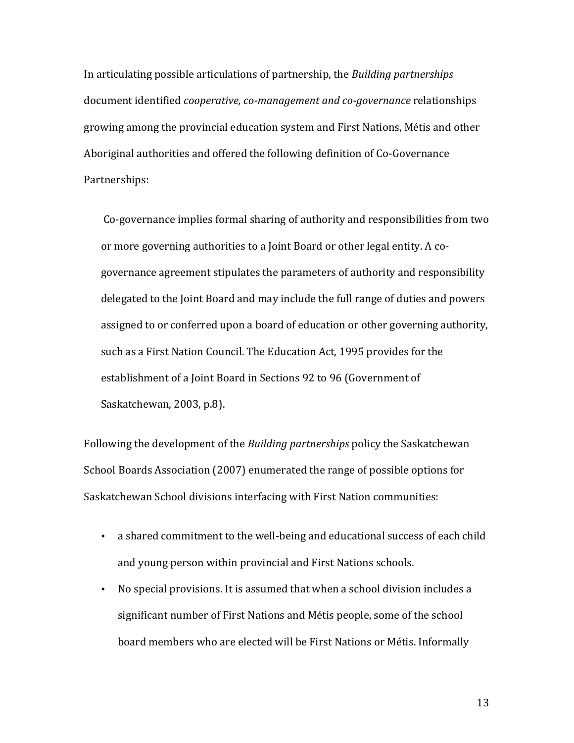In articulating possible articulations of partnership, the *Building partnerships* document identified *cooperative, co-management and co-governance* relationships growing among the provincial education system and First Nations, Métis and other Aboriginal authorities and offered the following definition of Co-Governance Partnerships:

Co-governance implies formal sharing of authority and responsibilities from two or more governing authorities to a Joint Board or other legal entity. A cogovernance agreement stipulates the parameters of authority and responsibility delegated to the Joint Board and may include the full range of duties and powers assigned to or conferred upon a board of education or other governing authority, such as a First Nation Council. The Education Act, 1995 provides for the establishment of a Joint Board in Sections 92 to 96 (Government of Saskatchewan, 2003, p.8).

Following the development of the *Building partnerships* policy the Saskatchewan School Boards Association (2007) enumerated the range of possible options for Saskatchewan School divisions interfacing with First Nation communities:

- a shared commitment to the well-being and educational success of each child and young person within provincial and First Nations schools.
- No special provisions. It is assumed that when a school division includes a significant number of First Nations and Métis people, some of the school board members who are elected will be First Nations or Métis. Informally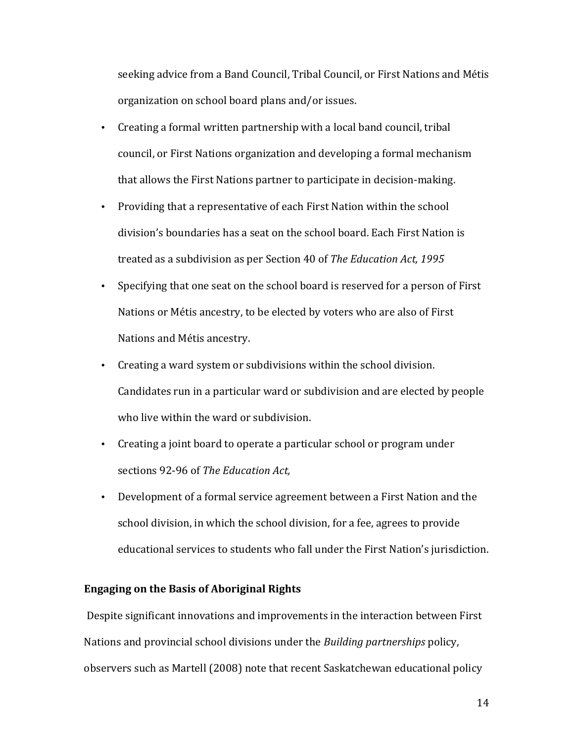seeking advice from a Band Council, Tribal Council, or First Nations and Métis organization on school board plans and/or issues.

- Creating a formal written partnership with a local band council, tribal council, or First Nations organization and developing a formal mechanism that allows the First Nations partner to participate in decision-making.
- Providing that a representative of each First Nation within the school division's boundaries has a seat on the school board. Each First Nation is treated as a subdivision as per Section 40 of *The Education Act*, 1995
- Specifying that one seat on the school board is reserved for a person of First Nations or Métis ancestry, to be elected by voters who are also of First Nations and Métis ancestry.
- Creating a ward system or subdivisions within the school division. Candidates run in a particular ward or subdivision and are elected by people who live within the ward or subdivision.
- Creating a joint board to operate a particular school or program under sections 92-96 of *The Education Act.*
- Development of a formal service agreement between a First Nation and the school division, in which the school division, for a fee, agrees to provide educational services to students who fall under the First Nation's jurisdiction.

## **Engaging on the Basis of Aboriginal Rights**

Despite significant innovations and improvements in the interaction between First Nations and provincial school divisions under the *Building partnerships* policy, observers such as Martell (2008) note that recent Saskatchewan educational policy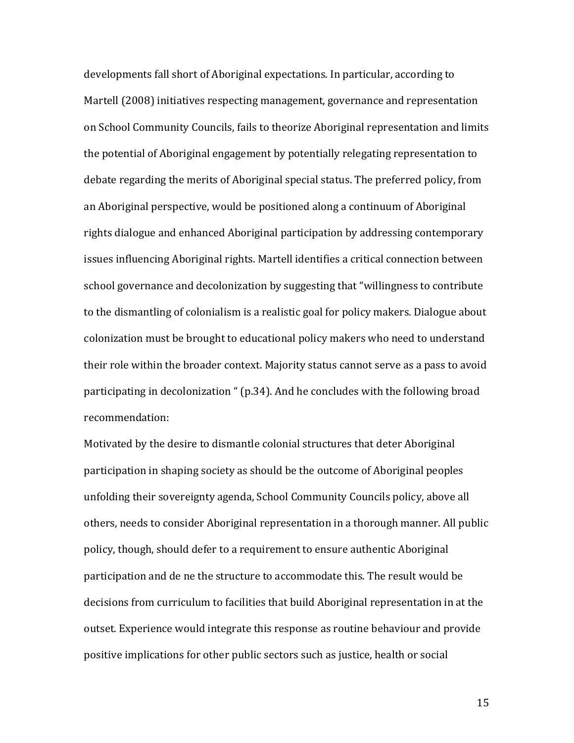developments fall short of Aboriginal expectations. In particular, according to Martell (2008) initiatives respecting management, governance and representation on School Community Councils, fails to theorize Aboriginal representation and limits the potential of Aboriginal engagement by potentially relegating representation to debate regarding the merits of Aboriginal special status. The preferred policy, from an Aboriginal perspective, would be positioned along a continuum of Aboriginal rights dialogue and enhanced Aboriginal participation by addressing contemporary issues influencing Aboriginal rights. Martell identifies a critical connection between school governance and decolonization by suggesting that "willingness to contribute to the dismantling of colonialism is a realistic goal for policy makers. Dialogue about colonization must be brought to educational policy makers who need to understand their role within the broader context. Majority status cannot serve as a pass to avoid participating in decolonization " (p.34). And he concludes with the following broad recommendation:

Motivated by the desire to dismantle colonial structures that deter Aboriginal participation in shaping society as should be the outcome of Aboriginal peoples unfolding their sovereignty agenda, School Community Councils policy, above all others, needs to consider Aboriginal representation in a thorough manner. All public policy, though, should defer to a requirement to ensure authentic Aboriginal participation and de ne the structure to accommodate this. The result would be decisions from curriculum to facilities that build Aboriginal representation in at the outset. Experience would integrate this response as routine behaviour and provide positive implications for other public sectors such as justice, health or social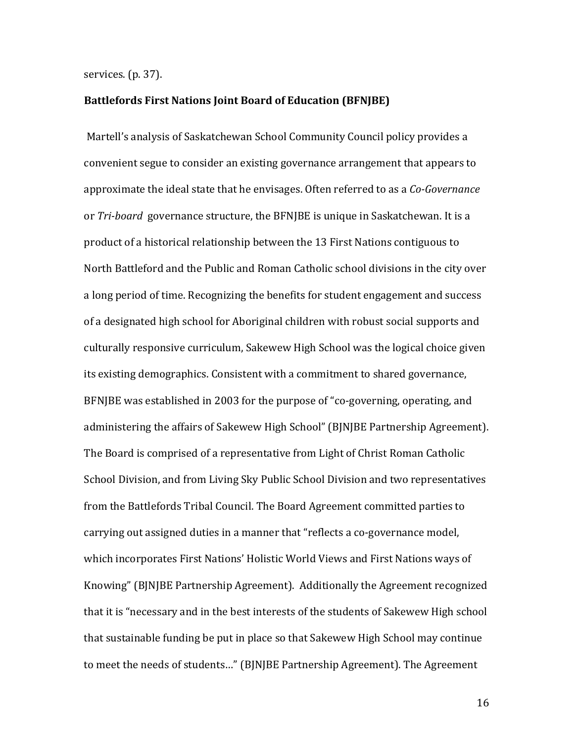#### services. (p. 37).

## Battlefords First Nations Joint Board of Education (BFNJBE)

Martell's analysis of Saskatchewan School Community Council policy provides a convenient segue to consider an existing governance arrangement that appears to approximate the ideal state that he envisages. Often referred to as a *Co-Governance* or *Tri-board* governance structure, the BFNJBE is unique in Saskatchewan. It is a product of a historical relationship between the 13 First Nations contiguous to North Battleford and the Public and Roman Catholic school divisions in the city over a long period of time. Recognizing the benefits for student engagement and success of a designated high school for Aboriginal children with robust social supports and culturally responsive curriculum, Sakewew High School was the logical choice given its existing demographics. Consistent with a commitment to shared governance, BFNJBE was established in 2003 for the purpose of "co-governing, operating, and administering the affairs of Sakewew High School" (BJNJBE Partnership Agreement). The Board is comprised of a representative from Light of Christ Roman Catholic School Division, and from Living Sky Public School Division and two representatives from the Battlefords Tribal Council. The Board Agreement committed parties to carrying out assigned duties in a manner that "reflects a co-governance model, which incorporates First Nations' Holistic World Views and First Nations ways of Knowing" (BJNJBE Partnership Agreement). Additionally the Agreement recognized that it is "necessary and in the best interests of the students of Sakewew High school that sustainable funding be put in place so that Sakewew High School may continue to meet the needs of students..." (BJNJBE Partnership Agreement). The Agreement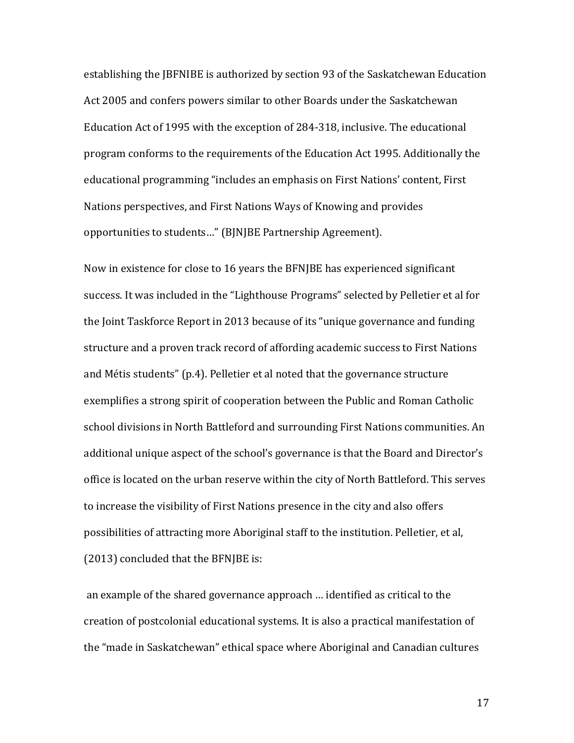establishing the *JBFNIBE* is authorized by section 93 of the Saskatchewan Education Act 2005 and confers powers similar to other Boards under the Saskatchewan Education Act of 1995 with the exception of 284-318, inclusive. The educational program conforms to the requirements of the Education Act 1995. Additionally the educational programming "includes an emphasis on First Nations' content, First Nations perspectives, and First Nations Ways of Knowing and provides opportunities to students..." (BJNJBE Partnership Agreement).

Now in existence for close to 16 years the BFNJBE has experienced significant success. It was included in the "Lighthouse Programs" selected by Pelletier et al for the Joint Taskforce Report in 2013 because of its "unique governance and funding structure and a proven track record of affording academic success to First Nations and Métis students" (p.4). Pelletier et al noted that the governance structure exemplifies a strong spirit of cooperation between the Public and Roman Catholic school divisions in North Battleford and surrounding First Nations communities. An additional unique aspect of the school's governance is that the Board and Director's office is located on the urban reserve within the city of North Battleford. This serves to increase the visibility of First Nations presence in the city and also offers possibilities of attracting more Aboriginal staff to the institution. Pelletier, et al, (2013) concluded that the BFNIBE is:

an example of the shared governance approach ... identified as critical to the creation of postcolonial educational systems. It is also a practical manifestation of the "made in Saskatchewan" ethical space where Aboriginal and Canadian cultures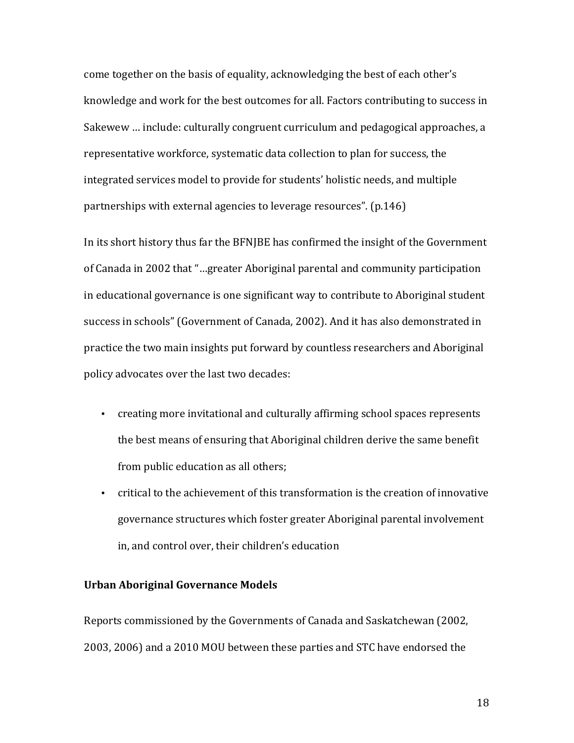come together on the basis of equality, acknowledging the best of each other's knowledge and work for the best outcomes for all. Factors contributing to success in Sakewew ... include: culturally congruent curriculum and pedagogical approaches, a representative workforce, systematic data collection to plan for success, the integrated services model to provide for students' holistic needs, and multiple partnerships with external agencies to leverage resources". (p.146)

In its short history thus far the BFNJBE has confirmed the insight of the Government of Canada in 2002 that "...greater Aboriginal parental and community participation in educational governance is one significant way to contribute to Aboriginal student success in schools" (Government of Canada, 2002). And it has also demonstrated in practice the two main insights put forward by countless researchers and Aboriginal policy advocates over the last two decades:

- creating more invitational and culturally affirming school spaces represents the best means of ensuring that Aboriginal children derive the same benefit from public education as all others;
- critical to the achievement of this transformation is the creation of innovative governance structures which foster greater Aboriginal parental involvement in, and control over, their children's education

## **Urban Aboriginal Governance Models**

Reports commissioned by the Governments of Canada and Saskatchewan (2002, 2003, 2006) and a 2010 MOU between these parties and STC have endorsed the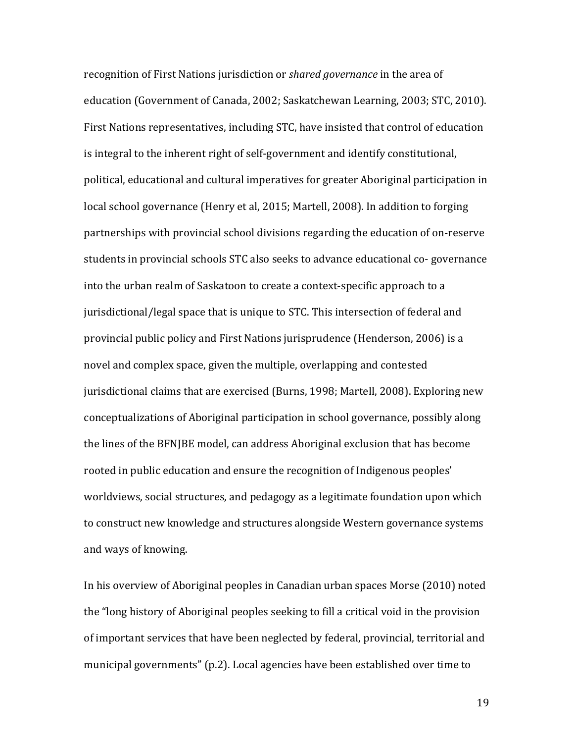recognition of First Nations jurisdiction or *shared governance* in the area of education (Government of Canada, 2002; Saskatchewan Learning, 2003; STC, 2010). First Nations representatives, including STC, have insisted that control of education is integral to the inherent right of self-government and identify constitutional, political, educational and cultural imperatives for greater Aboriginal participation in local school governance (Henry et al, 2015; Martell, 2008). In addition to forging partnerships with provincial school divisions regarding the education of on-reserve students in provincial schools STC also seeks to advance educational co- governance into the urban realm of Saskatoon to create a context-specific approach to a jurisdictional/legal space that is unique to STC. This intersection of federal and provincial public policy and First Nations jurisprudence (Henderson, 2006) is a novel and complex space, given the multiple, overlapping and contested jurisdictional claims that are exercised (Burns, 1998; Martell, 2008). Exploring new conceptualizations of Aboriginal participation in school governance, possibly along the lines of the BFNJBE model, can address Aboriginal exclusion that has become rooted in public education and ensure the recognition of Indigenous peoples' worldviews, social structures, and pedagogy as a legitimate foundation upon which to construct new knowledge and structures alongside Western governance systems and ways of knowing.

In his overview of Aboriginal peoples in Canadian urban spaces Morse (2010) noted the "long history of Aboriginal peoples seeking to fill a critical void in the provision of important services that have been neglected by federal, provincial, territorial and municipal governments" (p.2). Local agencies have been established over time to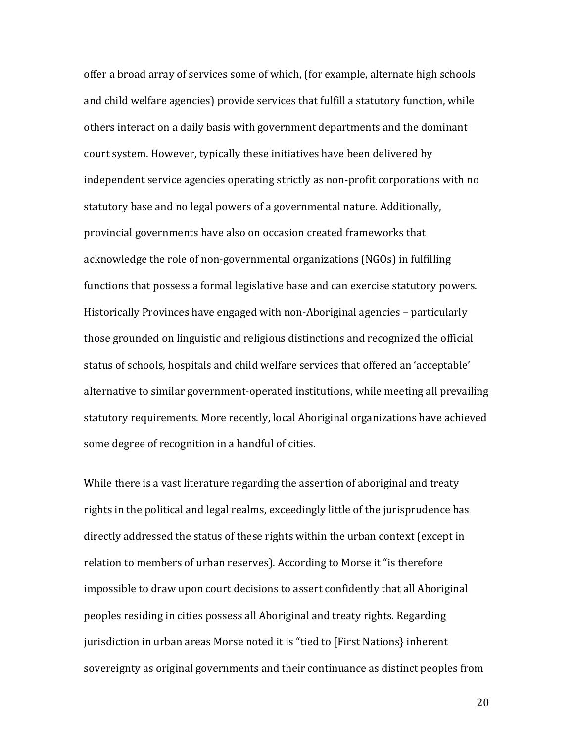offer a broad array of services some of which, (for example, alternate high schools and child welfare agencies) provide services that fulfill a statutory function, while others interact on a daily basis with government departments and the dominant court system. However, typically these initiatives have been delivered by independent service agencies operating strictly as non-profit corporations with no statutory base and no legal powers of a governmental nature. Additionally, provincial governments have also on occasion created frameworks that acknowledge the role of non-governmental organizations (NGOs) in fulfilling functions that possess a formal legislative base and can exercise statutory powers. Historically Provinces have engaged with non-Aboriginal agencies – particularly those grounded on linguistic and religious distinctions and recognized the official status of schools, hospitals and child welfare services that offered an 'acceptable' alternative to similar government-operated institutions, while meeting all prevailing statutory requirements. More recently, local Aboriginal organizations have achieved some degree of recognition in a handful of cities.

While there is a vast literature regarding the assertion of aboriginal and treaty rights in the political and legal realms, exceedingly little of the jurisprudence has directly addressed the status of these rights within the urban context (except in relation to members of urban reserves). According to Morse it "is therefore impossible to draw upon court decisions to assert confidently that all Aboriginal peoples residing in cities possess all Aboriginal and treaty rights. Regarding jurisdiction in urban areas Morse noted it is "tied to [First Nations} inherent sovereignty as original governments and their continuance as distinct peoples from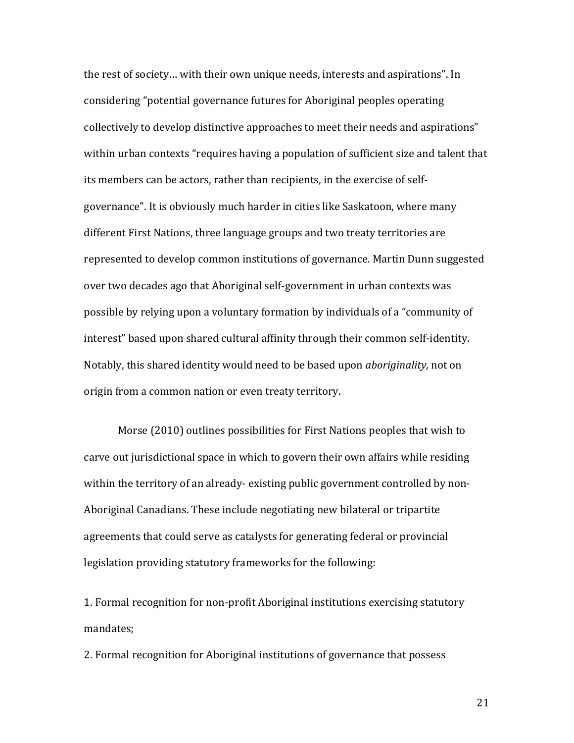the rest of society... with their own unique needs, interests and aspirations". In considering "potential governance futures for Aboriginal peoples operating collectively to develop distinctive approaches to meet their needs and aspirations" within urban contexts "requires having a population of sufficient size and talent that its members can be actors, rather than recipients, in the exercise of selfgovernance". It is obviously much harder in cities like Saskatoon, where many different First Nations, three language groups and two treaty territories are represented to develop common institutions of governance. Martin Dunn suggested over two decades ago that Aboriginal self-government in urban contexts was possible by relying upon a voluntary formation by individuals of a "community of interest" based upon shared cultural affinity through their common self-identity. Notably, this shared identity would need to be based upon *aboriginality*, not on origin from a common nation or even treaty territory.

Morse (2010) outlines possibilities for First Nations peoples that wish to carve out jurisdictional space in which to govern their own affairs while residing within the territory of an already-existing public government controlled by non-Aboriginal Canadians. These include negotiating new bilateral or tripartite agreements that could serve as catalysts for generating federal or provincial legislation providing statutory frameworks for the following:

1. Formal recognition for non-profit Aboriginal institutions exercising statutory mandates;

2. Formal recognition for Aboriginal institutions of governance that possess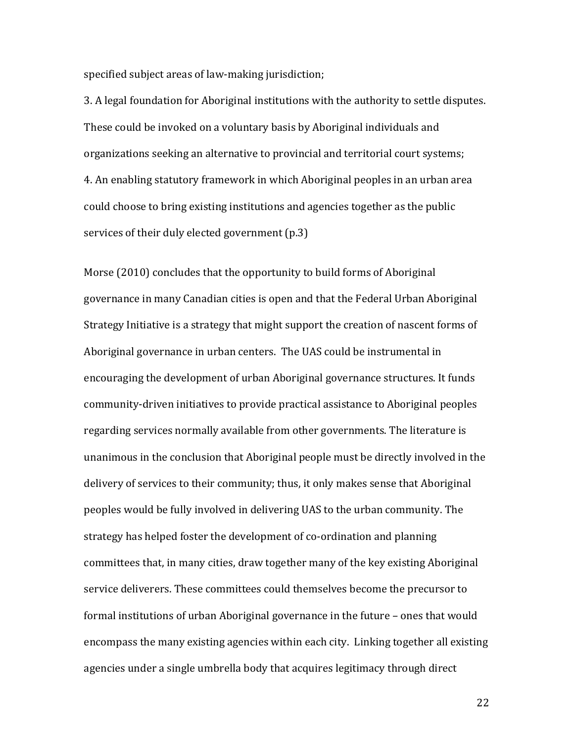specified subject areas of law-making jurisdiction;

3. A legal foundation for Aboriginal institutions with the authority to settle disputes. These could be invoked on a voluntary basis by Aboriginal individuals and organizations seeking an alternative to provincial and territorial court systems; 4. An enabling statutory framework in which Aboriginal peoples in an urban area could choose to bring existing institutions and agencies together as the public services of their duly elected government  $(p.3)$ 

Morse  $(2010)$  concludes that the opportunity to build forms of Aboriginal governance in many Canadian cities is open and that the Federal Urban Aboriginal Strategy Initiative is a strategy that might support the creation of nascent forms of Aboriginal governance in urban centers. The UAS could be instrumental in encouraging the development of urban Aboriginal governance structures. It funds community-driven initiatives to provide practical assistance to Aboriginal peoples regarding services normally available from other governments. The literature is unanimous in the conclusion that Aboriginal people must be directly involved in the delivery of services to their community; thus, it only makes sense that Aboriginal peoples would be fully involved in delivering UAS to the urban community. The strategy has helped foster the development of co-ordination and planning committees that, in many cities, draw together many of the key existing Aboriginal service deliverers. These committees could themselves become the precursor to formal institutions of urban Aboriginal governance in the future – ones that would encompass the many existing agencies within each city. Linking together all existing agencies under a single umbrella body that acquires legitimacy through direct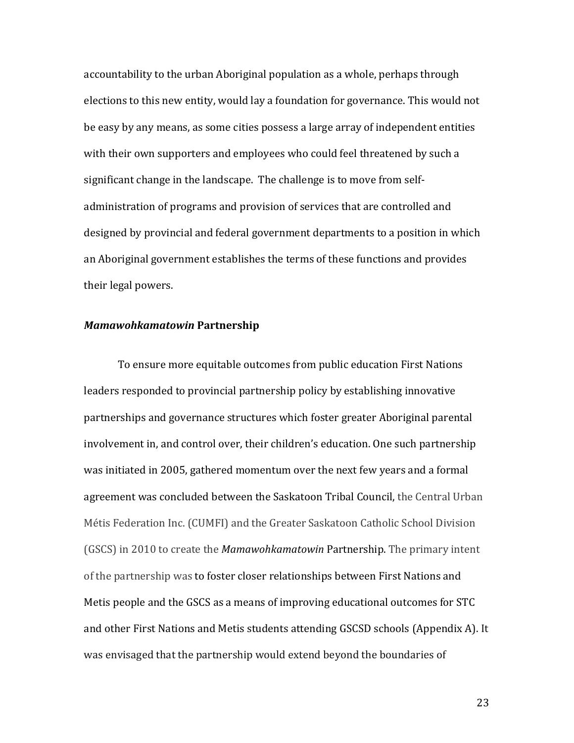accountability to the urban Aboriginal population as a whole, perhaps through elections to this new entity, would lay a foundation for governance. This would not be easy by any means, as some cities possess a large array of independent entities with their own supporters and employees who could feel threatened by such a significant change in the landscape. The challenge is to move from selfadministration of programs and provision of services that are controlled and designed by provincial and federal government departments to a position in which an Aboriginal government establishes the terms of these functions and provides their legal powers.

## *Mamawohkamatowin* **Partnership**

To ensure more equitable outcomes from public education First Nations leaders responded to provincial partnership policy by establishing innovative partnerships and governance structures which foster greater Aboriginal parental involvement in, and control over, their children's education. One such partnership was initiated in 2005, gathered momentum over the next few years and a formal agreement was concluded between the Saskatoon Tribal Council, the Central Urban Métis Federation Inc. (CUMFI) and the Greater Saskatoon Catholic School Division (GSCS) in 2010 to create the *Mamawohkamatowin* Partnership. The primary intent of the partnership was to foster closer relationships between First Nations and Metis people and the GSCS as a means of improving educational outcomes for STC and other First Nations and Metis students attending GSCSD schools (Appendix A). It was envisaged that the partnership would extend beyond the boundaries of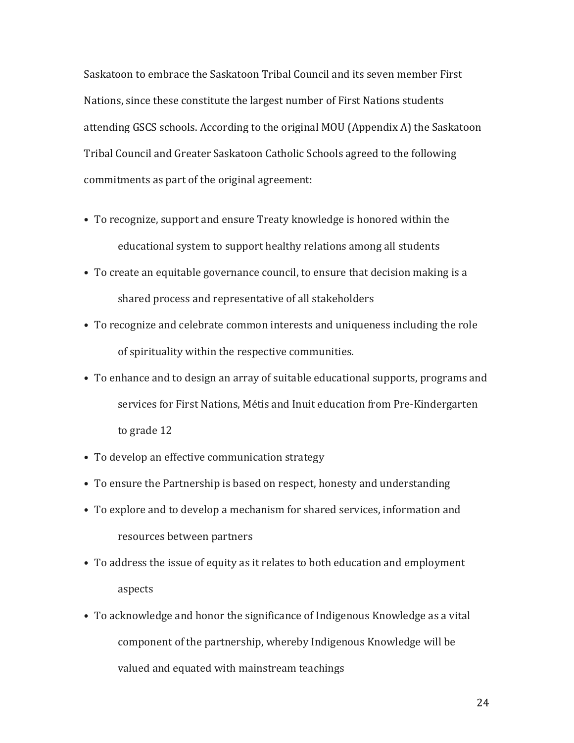Saskatoon to embrace the Saskatoon Tribal Council and its seven member First Nations, since these constitute the largest number of First Nations students attending GSCS schools. According to the original MOU (Appendix A) the Saskatoon Tribal Council and Greater Saskatoon Catholic Schools agreed to the following commitments as part of the original agreement:

- To recognize, support and ensure Treaty knowledge is honored within the educational system to support healthy relations among all students
- To create an equitable governance council, to ensure that decision making is a shared process and representative of all stakeholders
- To recognize and celebrate common interests and uniqueness including the role of spirituality within the respective communities.
- To enhance and to design an array of suitable educational supports, programs and services for First Nations, Métis and Inuit education from Pre-Kindergarten to grade 12
- To develop an effective communication strategy
- To ensure the Partnership is based on respect, honesty and understanding
- To explore and to develop a mechanism for shared services, information and resources between partners
- To address the issue of equity as it relates to both education and employment aspects
- To acknowledge and honor the significance of Indigenous Knowledge as a vital component of the partnership, whereby Indigenous Knowledge will be valued and equated with mainstream teachings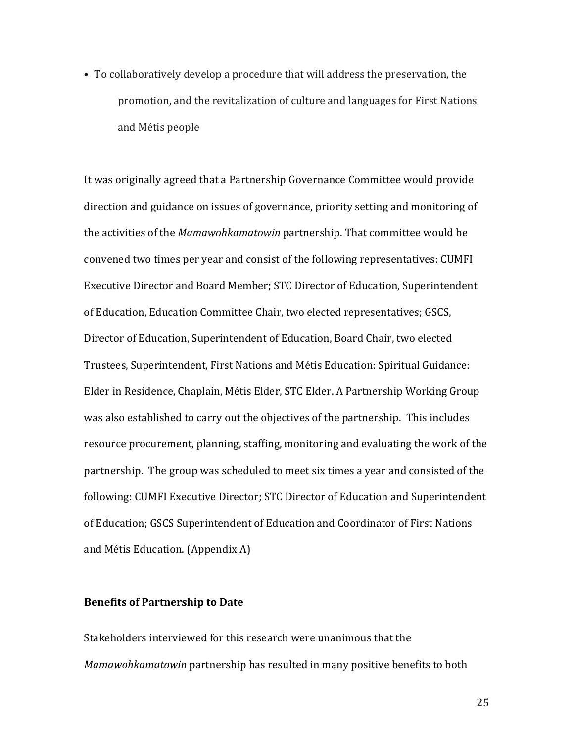• To collaboratively develop a procedure that will address the preservation, the promotion, and the revitalization of culture and languages for First Nations and Métis people

It was originally agreed that a Partnership Governance Committee would provide direction and guidance on issues of governance, priority setting and monitoring of the activities of the *Mamawohkamatowin* partnership. That committee would be convened two times per year and consist of the following representatives: CUMFI Executive Director and Board Member; STC Director of Education, Superintendent of Education, Education Committee Chair, two elected representatives; GSCS, Director of Education, Superintendent of Education, Board Chair, two elected Trustees, Superintendent, First Nations and Métis Education: Spiritual Guidance: Elder in Residence, Chaplain, Métis Elder, STC Elder. A Partnership Working Group was also established to carry out the objectives of the partnership. This includes resource procurement, planning, staffing, monitoring and evaluating the work of the partnership. The group was scheduled to meet six times a year and consisted of the following: CUMFI Executive Director; STC Director of Education and Superintendent of Education; GSCS Superintendent of Education and Coordinator of First Nations and Métis Education. (Appendix A)

## **Benefits of Partnership to Date**

Stakeholders interviewed for this research were unanimous that the *Mamawohkamatowin* partnership has resulted in many positive benefits to both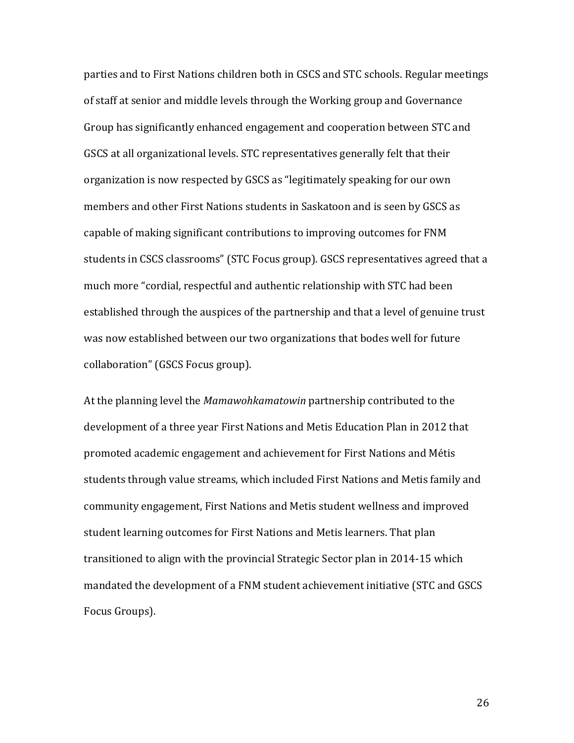parties and to First Nations children both in CSCS and STC schools. Regular meetings of staff at senior and middle levels through the Working group and Governance Group has significantly enhanced engagement and cooperation between STC and GSCS at all organizational levels. STC representatives generally felt that their organization is now respected by GSCS as "legitimately speaking for our own members and other First Nations students in Saskatoon and is seen by GSCS as capable of making significant contributions to improving outcomes for FNM students in CSCS classrooms" (STC Focus group). GSCS representatives agreed that a much more "cordial, respectful and authentic relationship with STC had been established through the auspices of the partnership and that a level of genuine trust was now established between our two organizations that bodes well for future collaboration" (GSCS Focus group).

At the planning level the *Mamawohkamatowin* partnership contributed to the development of a three year First Nations and Metis Education Plan in 2012 that promoted academic engagement and achievement for First Nations and Métis students through value streams, which included First Nations and Metis family and community engagement, First Nations and Metis student wellness and improved student learning outcomes for First Nations and Metis learners. That plan transitioned to align with the provincial Strategic Sector plan in 2014-15 which mandated the development of a FNM student achievement initiative (STC and GSCS Focus Groups).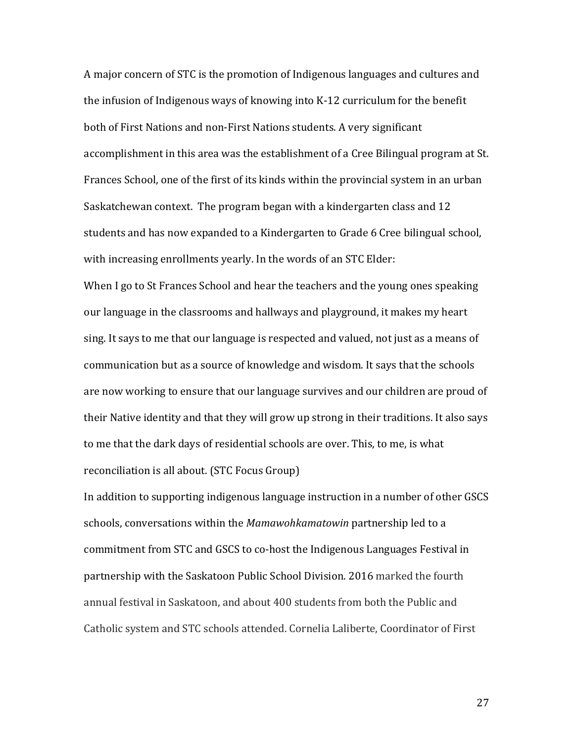A major concern of STC is the promotion of Indigenous languages and cultures and the infusion of Indigenous ways of knowing into K-12 curriculum for the benefit both of First Nations and non-First Nations students. A very significant accomplishment in this area was the establishment of a Cree Bilingual program at St. Frances School, one of the first of its kinds within the provincial system in an urban Saskatchewan context. The program began with a kindergarten class and 12 students and has now expanded to a Kindergarten to Grade 6 Cree bilingual school, with increasing enrollments yearly. In the words of an STC Elder: When I go to St Frances School and hear the teachers and the young ones speaking our language in the classrooms and hallways and playground, it makes my heart sing. It says to me that our language is respected and valued, not just as a means of communication but as a source of knowledge and wisdom. It says that the schools are now working to ensure that our language survives and our children are proud of their Native identity and that they will grow up strong in their traditions. It also says to me that the dark days of residential schools are over. This, to me, is what reconciliation is all about. (STC Focus Group)

In addition to supporting indigenous language instruction in a number of other GSCS schools, conversations within the *Mamawohkamatowin* partnership led to a commitment from STC and GSCS to co-host the Indigenous Languages Festival in partnership with the Saskatoon Public School Division. 2016 marked the fourth annual festival in Saskatoon, and about 400 students from both the Public and Catholic system and STC schools attended. Cornelia Laliberte, Coordinator of First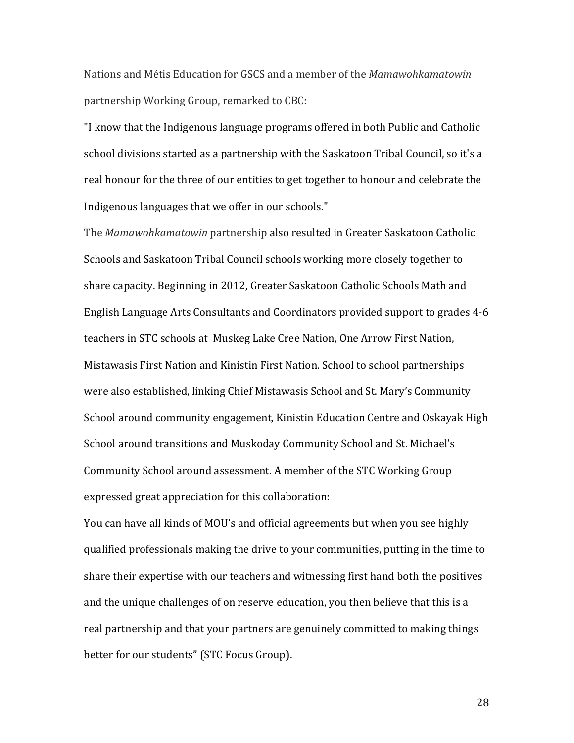Nations and Métis Education for GSCS and a member of the *Mamawohkamatowin* partnership Working Group, remarked to CBC:

"I know that the Indigenous language programs offered in both Public and Catholic school divisions started as a partnership with the Saskatoon Tribal Council, so it's a real honour for the three of our entities to get together to honour and celebrate the Indigenous languages that we offer in our schools."

The *Mamawohkamatowin* partnership also resulted in Greater Saskatoon Catholic Schools and Saskatoon Tribal Council schools working more closely together to share capacity. Beginning in 2012, Greater Saskatoon Catholic Schools Math and English Language Arts Consultants and Coordinators provided support to grades 4-6 teachers in STC schools at Muskeg Lake Cree Nation, One Arrow First Nation, Mistawasis First Nation and Kinistin First Nation. School to school partnerships were also established, linking Chief Mistawasis School and St. Mary's Community School around community engagement, Kinistin Education Centre and Oskayak High School around transitions and Muskoday Community School and St. Michael's Community School around assessment. A member of the STC Working Group expressed great appreciation for this collaboration:

You can have all kinds of MOU's and official agreements but when you see highly qualified professionals making the drive to your communities, putting in the time to share their expertise with our teachers and witnessing first hand both the positives and the unique challenges of on reserve education, you then believe that this is a real partnership and that your partners are genuinely committed to making things better for our students" (STC Focus Group).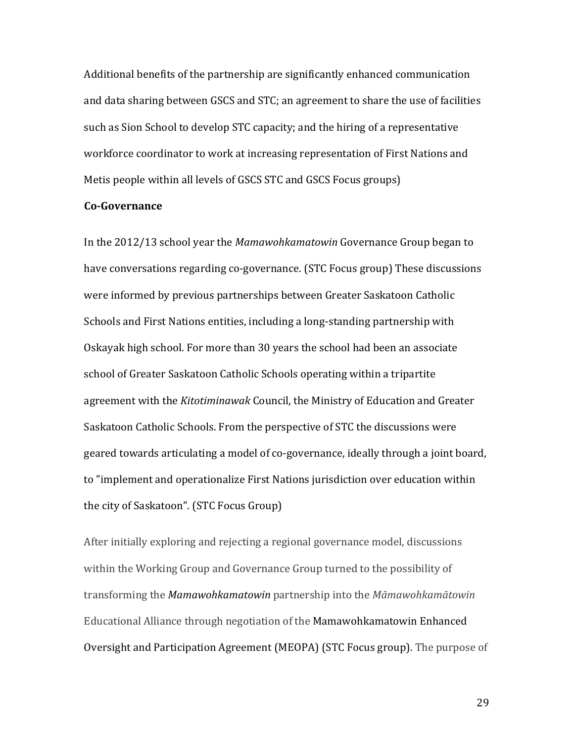Additional benefits of the partnership are significantly enhanced communication and data sharing between GSCS and STC; an agreement to share the use of facilities such as Sion School to develop STC capacity; and the hiring of a representative workforce coordinator to work at increasing representation of First Nations and Metis people within all levels of GSCS STC and GSCS Focus groups)

### **Co-Governance**

In the 2012/13 school year the *Mamawohkamatowin* Governance Group began to have conversations regarding co-governance. (STC Focus group) These discussions were informed by previous partnerships between Greater Saskatoon Catholic Schools and First Nations entities, including a long-standing partnership with Oskayak high school. For more than 30 years the school had been an associate school of Greater Saskatoon Catholic Schools operating within a tripartite agreement with the *Kitotiminawak* Council, the Ministry of Education and Greater Saskatoon Catholic Schools. From the perspective of STC the discussions were geared towards articulating a model of co-governance, ideally through a joint board, to "implement and operationalize First Nations jurisdiction over education within the city of Saskatoon". (STC Focus Group)

After initially exploring and rejecting a regional governance model, discussions within the Working Group and Governance Group turned to the possibility of transforming the *Mamawohkamatowin* partnership into the *Māmawohkamātowin* Educational Alliance through negotiation of the Mamawohkamatowin Enhanced Oversight and Participation Agreement (MEOPA) (STC Focus group). The purpose of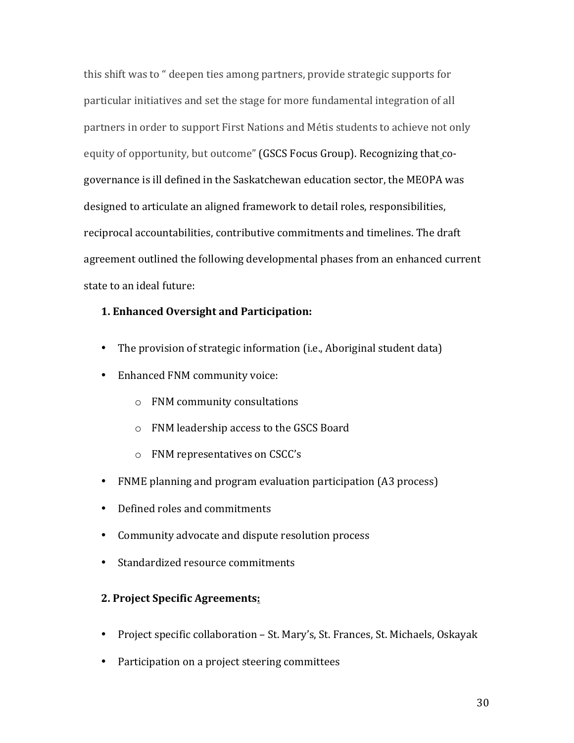this shift was to " deepen ties among partners, provide strategic supports for particular initiatives and set the stage for more fundamental integration of all partners in order to support First Nations and Métis students to achieve not only equity of opportunity, but outcome" (GSCS Focus Group). Recognizing that cogovernance is ill defined in the Saskatchewan education sector, the MEOPA was designed to articulate an aligned framework to detail roles, responsibilities, reciprocal accountabilities, contributive commitments and timelines. The draft agreement outlined the following developmental phases from an enhanced current state to an ideal future:

## **1. Enhanced Oversight and Participation:**

- The provision of strategic information (i.e., Aboriginal student data)
- Enhanced FNM community voice:
	- o FNM community consultations
	- o FNM leadership access to the GSCS Board
	- o FNM representatives on CSCC's
- FNME planning and program evaluation participation (A3 process)
- Defined roles and commitments
- Community advocate and dispute resolution process
- Standardized resource commitments

## **2. Project Specific Agreements:**

- Project specific collaboration St. Mary's, St. Frances, St. Michaels, Oskayak
- Participation on a project steering committees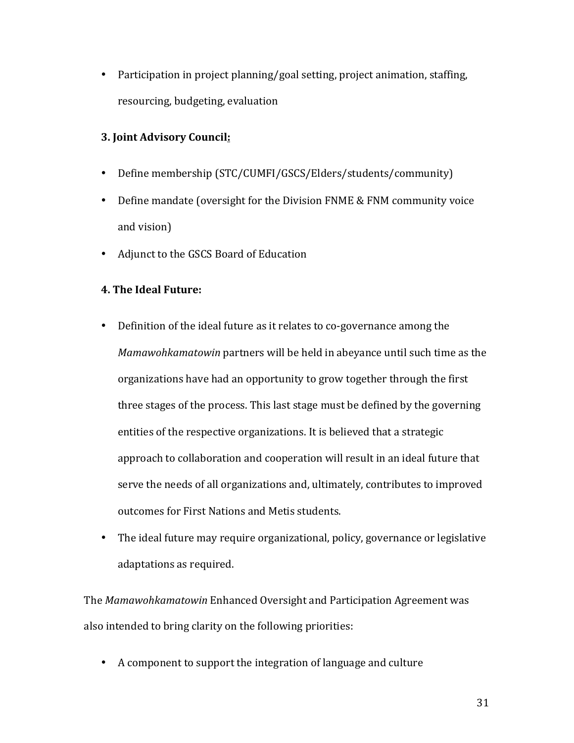• Participation in project planning/goal setting, project animation, staffing, resourcing, budgeting, evaluation

## **3. Joint Advisory Council:**

- Define membership (STC/CUMFI/GSCS/Elders/students/community)
- Define mandate (oversight for the Division FNME & FNM community voice and vision)
- Adjunct to the GSCS Board of Education

## **4. The Ideal Future:**

- Definition of the ideal future as it relates to co-governance among the *Mamawohkamatowin* partners will be held in abeyance until such time as the organizations have had an opportunity to grow together through the first three stages of the process. This last stage must be defined by the governing entities of the respective organizations. It is believed that a strategic approach to collaboration and cooperation will result in an ideal future that serve the needs of all organizations and, ultimately, contributes to improved outcomes for First Nations and Metis students.
- The ideal future may require organizational, policy, governance or legislative adaptations as required.

The *Mamawohkamatowin* Enhanced Oversight and Participation Agreement was also intended to bring clarity on the following priorities:

• A component to support the integration of language and culture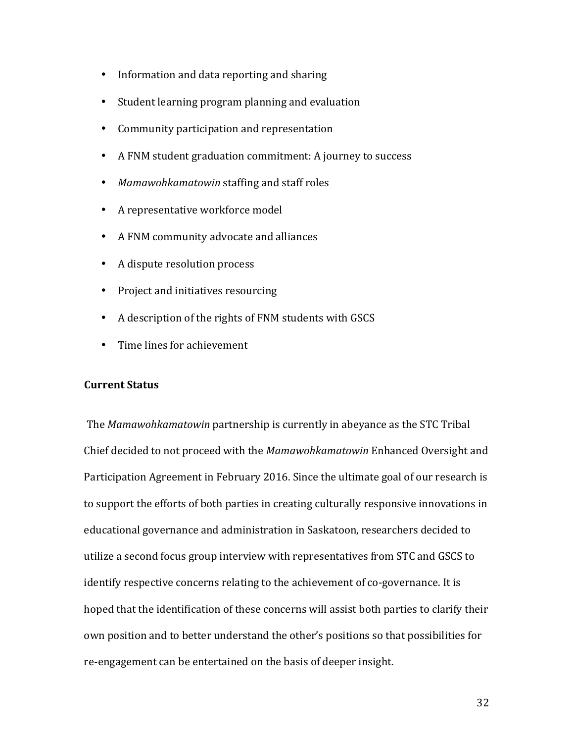- Information and data reporting and sharing
- Student learning program planning and evaluation
- Community participation and representation
- A FNM student graduation commitment: A journey to success
- *Mamawohkamatowin* staffing and staff roles
- A representative workforce model
- A FNM community advocate and alliances
- A dispute resolution process
- Project and initiatives resourcing
- A description of the rights of FNM students with GSCS
- Time lines for achievement

### **Current Status**

The *Mamawohkamatowin* partnership is currently in abeyance as the STC Tribal Chief decided to not proceed with the *Mamawohkamatowin* Enhanced Oversight and Participation Agreement in February 2016. Since the ultimate goal of our research is to support the efforts of both parties in creating culturally responsive innovations in educational governance and administration in Saskatoon, researchers decided to utilize a second focus group interview with representatives from STC and GSCS to identify respective concerns relating to the achievement of co-governance. It is hoped that the identification of these concerns will assist both parties to clarify their own position and to better understand the other's positions so that possibilities for re-engagement can be entertained on the basis of deeper insight.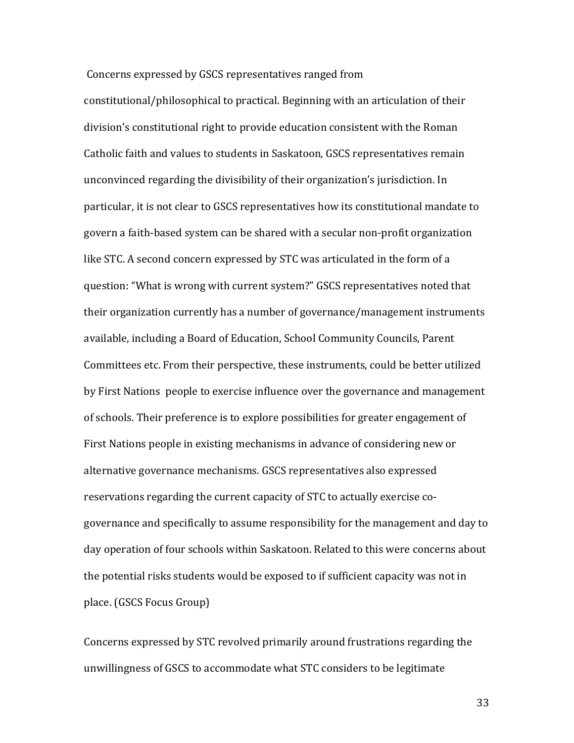Concerns expressed by GSCS representatives ranged from

constitutional/philosophical to practical. Beginning with an articulation of their division's constitutional right to provide education consistent with the Roman Catholic faith and values to students in Saskatoon, GSCS representatives remain unconvinced regarding the divisibility of their organization's jurisdiction. In particular, it is not clear to GSCS representatives how its constitutional mandate to govern a faith-based system can be shared with a secular non-profit organization like STC. A second concern expressed by STC was articulated in the form of a question: "What is wrong with current system?" GSCS representatives noted that their organization currently has a number of governance/management instruments available, including a Board of Education, School Community Councils, Parent Committees etc. From their perspective, these instruments, could be better utilized by First Nations people to exercise influence over the governance and management of schools. Their preference is to explore possibilities for greater engagement of First Nations people in existing mechanisms in advance of considering new or alternative governance mechanisms. GSCS representatives also expressed reservations regarding the current capacity of STC to actually exercise cogovernance and specifically to assume responsibility for the management and day to day operation of four schools within Saskatoon. Related to this were concerns about the potential risks students would be exposed to if sufficient capacity was not in place. (GSCS Focus Group)

Concerns expressed by STC revolved primarily around frustrations regarding the unwillingness of GSCS to accommodate what STC considers to be legitimate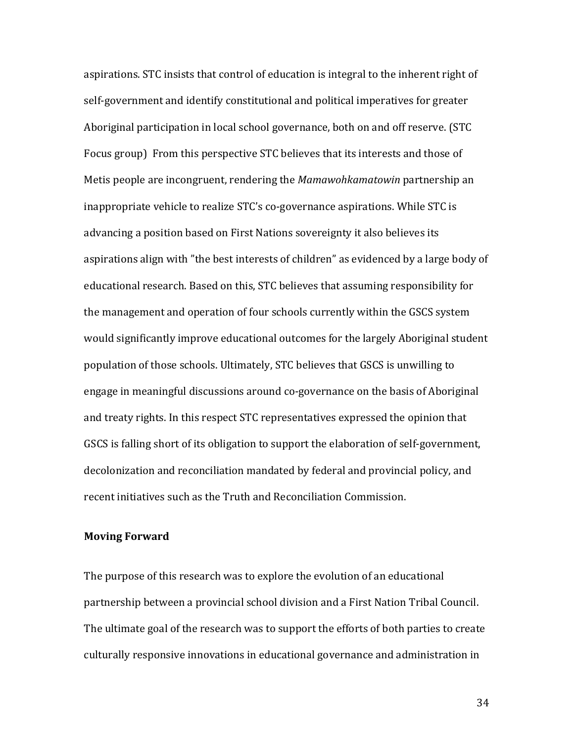aspirations. STC insists that control of education is integral to the inherent right of self-government and identify constitutional and political imperatives for greater Aboriginal participation in local school governance, both on and off reserve. (STC Focus group) From this perspective STC believes that its interests and those of Metis people are incongruent, rendering the Mamawohkamatowin partnership an inappropriate vehicle to realize STC's co-governance aspirations. While STC is advancing a position based on First Nations sovereignty it also believes its aspirations align with "the best interests of children" as evidenced by a large body of educational research. Based on this, STC believes that assuming responsibility for the management and operation of four schools currently within the GSCS system would significantly improve educational outcomes for the largely Aboriginal student population of those schools. Ultimately, STC believes that GSCS is unwilling to engage in meaningful discussions around co-governance on the basis of Aboriginal and treaty rights. In this respect STC representatives expressed the opinion that GSCS is falling short of its obligation to support the elaboration of self-government, decolonization and reconciliation mandated by federal and provincial policy, and recent initiatives such as the Truth and Reconciliation Commission.

#### **Moving Forward**

The purpose of this research was to explore the evolution of an educational partnership between a provincial school division and a First Nation Tribal Council. The ultimate goal of the research was to support the efforts of both parties to create culturally responsive innovations in educational governance and administration in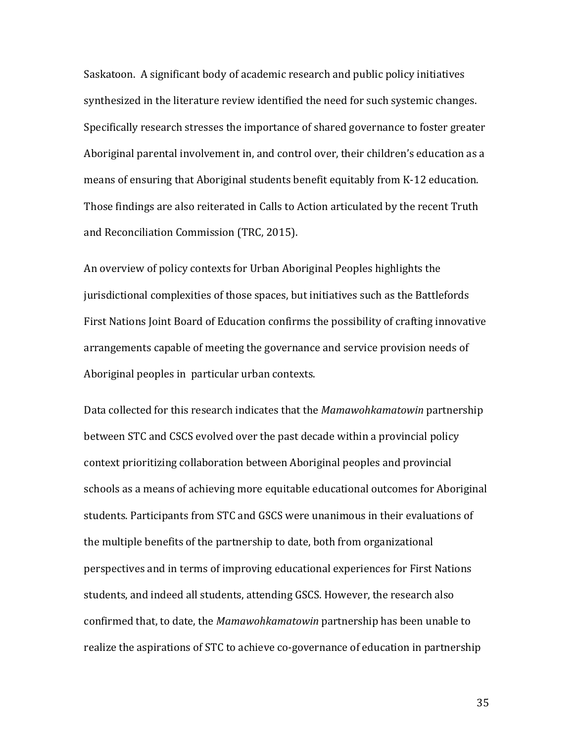Saskatoon. A significant body of academic research and public policy initiatives synthesized in the literature review identified the need for such systemic changes. Specifically research stresses the importance of shared governance to foster greater Aboriginal parental involvement in, and control over, their children's education as a means of ensuring that Aboriginal students benefit equitably from K-12 education. Those findings are also reiterated in Calls to Action articulated by the recent Truth and Reconciliation Commission (TRC, 2015).

An overview of policy contexts for Urban Aboriginal Peoples highlights the jurisdictional complexities of those spaces, but initiatives such as the Battlefords First Nations Joint Board of Education confirms the possibility of crafting innovative arrangements capable of meeting the governance and service provision needs of Aboriginal peoples in particular urban contexts.

Data collected for this research indicates that the *Mamawohkamatowin* partnership between STC and CSCS evolved over the past decade within a provincial policy context prioritizing collaboration between Aboriginal peoples and provincial schools as a means of achieving more equitable educational outcomes for Aboriginal students. Participants from STC and GSCS were unanimous in their evaluations of the multiple benefits of the partnership to date, both from organizational perspectives and in terms of improving educational experiences for First Nations students, and indeed all students, attending GSCS. However, the research also confirmed that, to date, the *Mamawohkamatowin* partnership has been unable to realize the aspirations of STC to achieve co-governance of education in partnership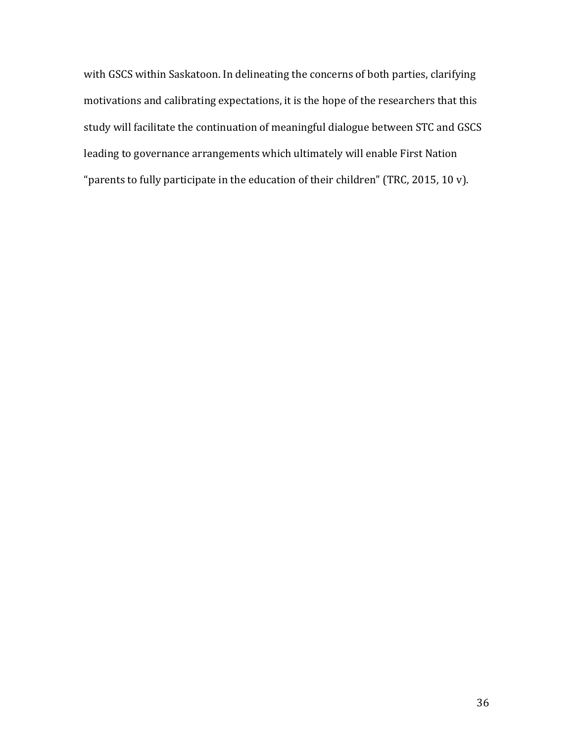with GSCS within Saskatoon. In delineating the concerns of both parties, clarifying motivations and calibrating expectations, it is the hope of the researchers that this study will facilitate the continuation of meaningful dialogue between STC and GSCS leading to governance arrangements which ultimately will enable First Nation "parents to fully participate in the education of their children" (TRC, 2015, 10 v).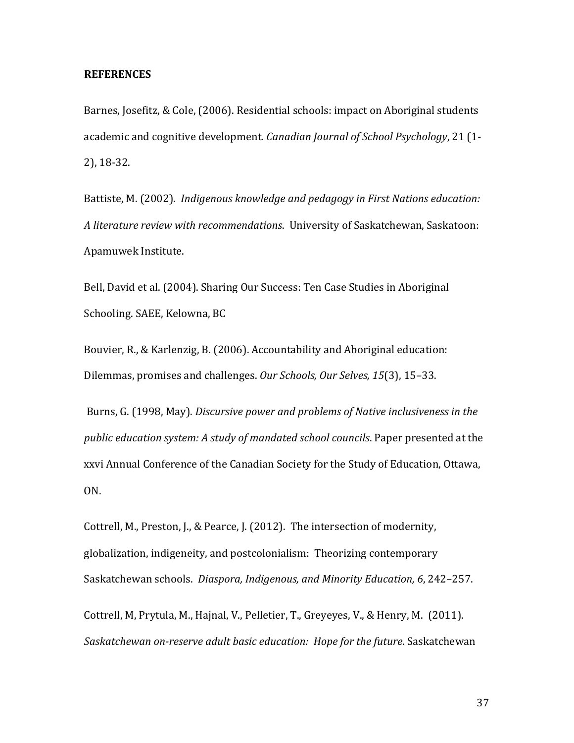#### **REFERENCES**

Barnes, Josefitz, & Cole, (2006). Residential schools: impact on Aboriginal students academic and cognitive development. *Canadian Journal of School Psychology*, 21 (1-2), 18-32.

Battiste, M. (2002). *Indigenous knowledge and pedagogy in First Nations education:* A *literature review with recommendations*. University of Saskatchewan, Saskatoon: Apamuwek Institute.

Bell, David et al. (2004). Sharing Our Success: Ten Case Studies in Aboriginal Schooling. SAEE, Kelowna, BC

Bouvier, R., & Karlenzig, B. (2006). Accountability and Aboriginal education: Dilemmas, promises and challenges. Our Schools, Our Selves, 15(3), 15-33.

Burns, G. (1998, May). *Discursive power and problems of Native inclusiveness in the public* education system: A study of mandated school councils. Paper presented at the xxvi Annual Conference of the Canadian Society for the Study of Education, Ottawa, ON. 

Cottrell, M., Preston, J., & Pearce, J. (2012). The intersection of modernity, globalization, indigeneity, and postcolonialism: Theorizing contemporary Saskatchewan schools. *Diaspora, Indigenous, and Minority Education, 6, 242–257.* 

Cottrell, M, Prytula, M., Hajnal, V., Pelletier, T., Greyeyes, V., & Henry, M. (2011). *Saskatchewan on-reserve adult basic education: Hope for the future.* Saskatchewan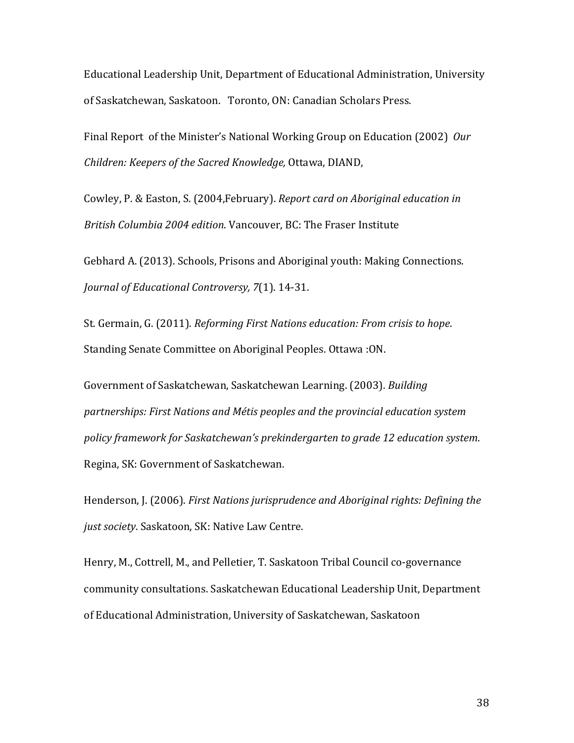Educational Leadership Unit, Department of Educational Administration, University of Saskatchewan, Saskatoon. Toronto, ON: Canadian Scholars Press.

Final Report of the Minister's National Working Group on Education (2002) Our *Children: Keepers of the Sacred Knowledge,* Ottawa, DIAND, 

Cowley, P. & Easton, S. (2004, February). Report card on Aboriginal education in *British Columbia 2004 edition*. Vancouver, BC: The Fraser Institute 

Gebhard A. (2013). Schools, Prisons and Aboriginal youth: Making Connections. *Journal of Educational Controversy, 7(1).* 14-31.

St. Germain, G. (2011). *Reforming First Nations education: From crisis to hope.* Standing Senate Committee on Aboriginal Peoples. Ottawa :ON.

Government of Saskatchewan, Saskatchewan Learning. (2003). *Building* partnerships: First Nations and Métis peoples and the provincial education system *policy framework for Saskatchewan's prekindergarten to grade 12 education system*. Regina, SK: Government of Saskatchewan.

Henderson, J. (2006). *First Nations jurisprudence and Aboriginal rights: Defining the* just society. Saskatoon, SK: Native Law Centre.

Henry, M., Cottrell, M., and Pelletier, T. Saskatoon Tribal Council co-governance community consultations. Saskatchewan Educational Leadership Unit, Department of Educational Administration, University of Saskatchewan, Saskatoon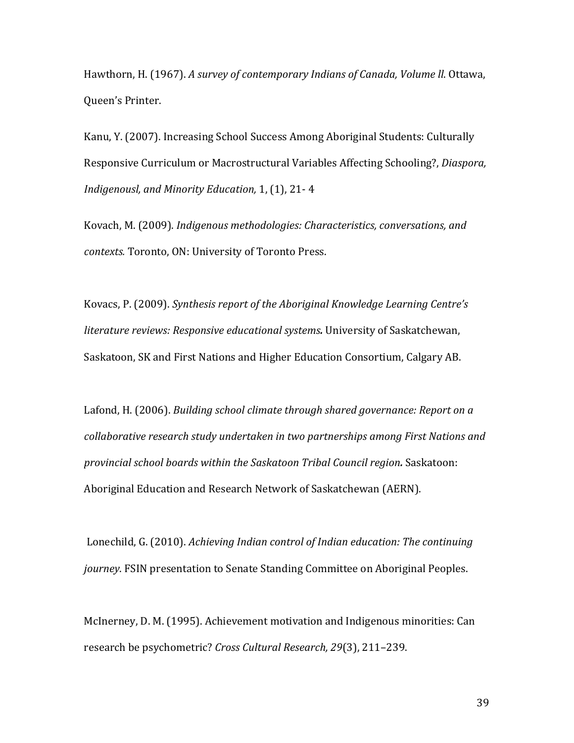Hawthorn, H. (1967). A survey of contemporary Indians of Canada, Volume II. Ottawa, Queen's Printer.

Kanu, Y. (2007). Increasing School Success Among Aboriginal Students: Culturally Responsive Curriculum or Macrostructural Variables Affecting Schooling?, *Diaspora*, Indigenousl, and Minority Education, 1, (1), 21-4

Kovach, M. (2009). *Indigenous methodologies: Characteristics, conversations, and* contexts. Toronto, ON: University of Toronto Press.

Kovacs, P. (2009). Synthesis report of the Aboriginal Knowledge Learning Centre's *literature reviews: Responsive educational systems*. University of Saskatchewan, Saskatoon, SK and First Nations and Higher Education Consortium, Calgary AB.

Lafond, H. (2006). *Building school climate through shared governance: Report on a* collaborative research study undertaken in two partnerships among First Nations and *provincial school boards within the Saskatoon Tribal Council region.* Saskatoon: Aboriginal Education and Research Network of Saskatchewan (AERN).

Lonechild, G. (2010). *Achieving Indian control of Indian education: The continuing journey*. FSIN presentation to Senate Standing Committee on Aboriginal Peoples.

McInerney, D. M. (1995). Achievement motivation and Indigenous minorities: Can research be psychometric? *Cross Cultural Research, 29*(3), 211-239.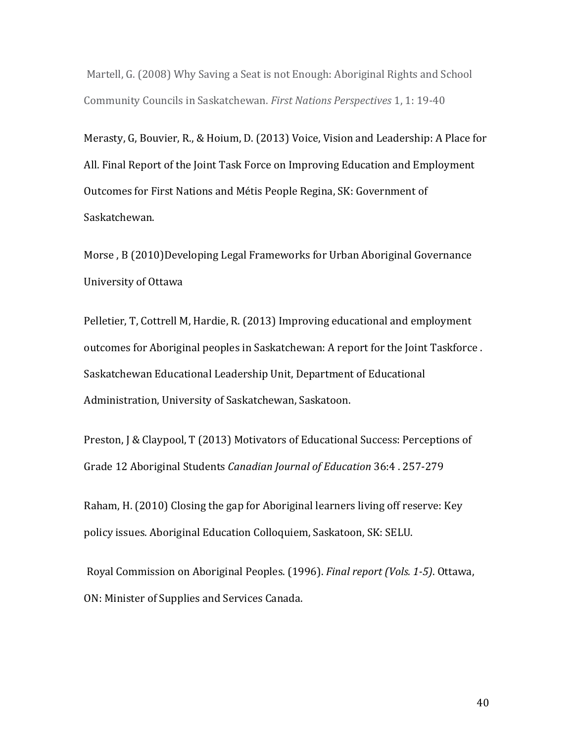Martell, G. (2008) Why Saving a Seat is not Enough: Aboriginal Rights and School Community Councils in Saskatchewan. *First Nations Perspectives* 1, 1: 19-40

Merasty, G, Bouvier, R., & Hoium, D. (2013) Voice, Vision and Leadership: A Place for All. Final Report of the Joint Task Force on Improving Education and Employment Outcomes for First Nations and Métis People Regina, SK: Government of Saskatchewan. 

Morse, B (2010)Developing Legal Frameworks for Urban Aboriginal Governance University of Ottawa 

Pelletier, T, Cottrell M, Hardie, R. (2013) Improving educational and employment outcomes for Aboriginal peoples in Saskatchewan: A report for the Joint Taskforce. Saskatchewan Educational Leadership Unit, Department of Educational Administration, University of Saskatchewan, Saskatoon.

Preston, J & Claypool, T (2013) Motivators of Educational Success: Perceptions of Grade 12 Aboriginal Students *Canadian Journal of Education* 36:4 . 257-279

Raham, H. (2010) Closing the gap for Aboriginal learners living off reserve: Key policy issues. Aboriginal Education Colloquiem, Saskatoon, SK: SELU.

Royal Commission on Aboriginal Peoples. (1996). *Final report (Vols. 1-5)*. Ottawa, ON: Minister of Supplies and Services Canada.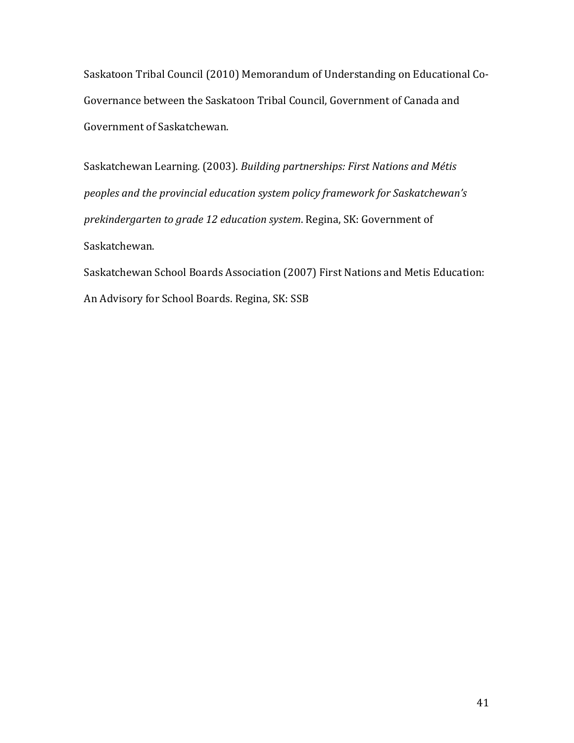Saskatoon Tribal Council (2010) Memorandum of Understanding on Educational Co-Governance between the Saskatoon Tribal Council, Government of Canada and Government of Saskatchewan.

Saskatchewan Learning. (2003). *Building partnerships: First Nations and Métis peoples and the provincial education system policy framework for Saskatchewan's prekindergarten to grade 12 education system.* Regina, SK: Government of Saskatchewan. 

Saskatchewan School Boards Association (2007) First Nations and Metis Education: An Advisory for School Boards. Regina, SK: SSB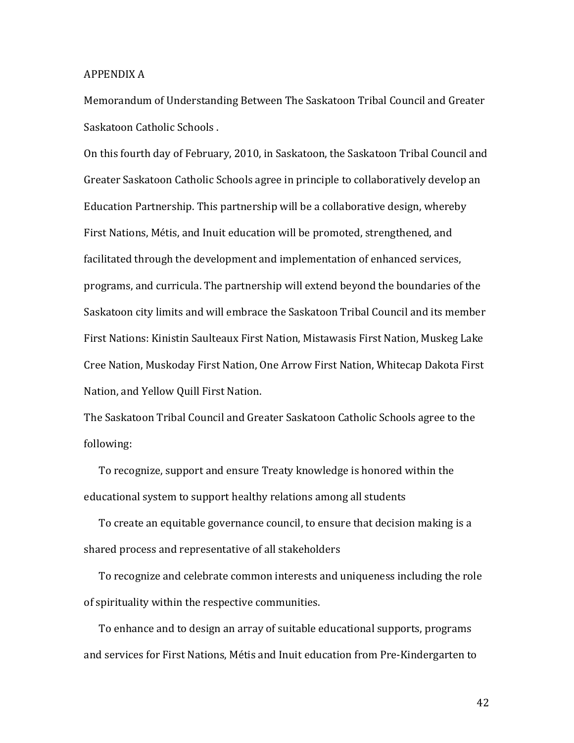#### APPENDIX A

Memorandum of Understanding Between The Saskatoon Tribal Council and Greater Saskatoon Catholic Schools.

On this fourth day of February, 2010, in Saskatoon, the Saskatoon Tribal Council and Greater Saskatoon Catholic Schools agree in principle to collaboratively develop an Education Partnership. This partnership will be a collaborative design, whereby First Nations, Métis, and Inuit education will be promoted, strengthened, and facilitated through the development and implementation of enhanced services, programs, and curricula. The partnership will extend beyond the boundaries of the Saskatoon city limits and will embrace the Saskatoon Tribal Council and its member First Nations: Kinistin Saulteaux First Nation, Mistawasis First Nation, Muskeg Lake Cree Nation, Muskoday First Nation, One Arrow First Nation, Whitecap Dakota First Nation, and Yellow Quill First Nation.

The Saskatoon Tribal Council and Greater Saskatoon Catholic Schools agree to the following: 

To recognize, support and ensure Treaty knowledge is honored within the educational system to support healthy relations among all students

To create an equitable governance council, to ensure that decision making is a shared process and representative of all stakeholders

To recognize and celebrate common interests and uniqueness including the role of spirituality within the respective communities.

To enhance and to design an array of suitable educational supports, programs and services for First Nations, Métis and Inuit education from Pre-Kindergarten to